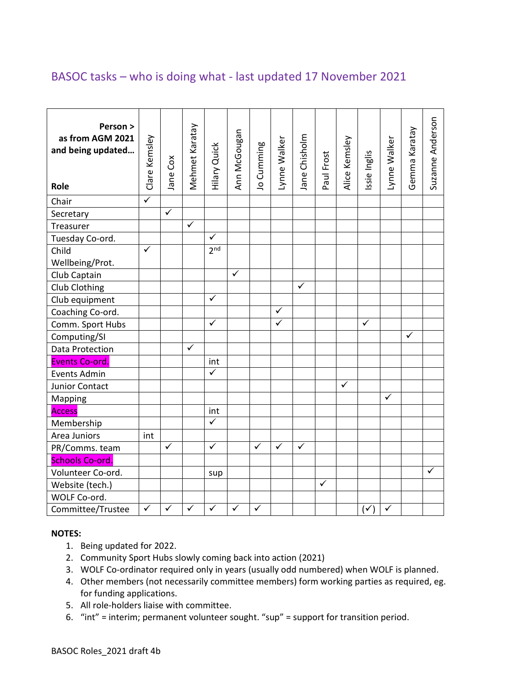## BASOC tasks – who is doing what - last updated 17 November 2021

| Person ><br>as from AGM 2021<br>and being updated<br>Role | Clare Kemsley           | Jane Cox                | Mehmet Karatay          | <b>Hilary Quick</b> | Ann McGougan | Jo Cumming | Lynne Walker | Jane Chisholm | Paul Frost   | Alice Kemsley | Issie Inglis   | Lynne Walker | Gemma Karatay | Suzanne Anderson |
|-----------------------------------------------------------|-------------------------|-------------------------|-------------------------|---------------------|--------------|------------|--------------|---------------|--------------|---------------|----------------|--------------|---------------|------------------|
| Chair                                                     | $\overline{\checkmark}$ |                         |                         |                     |              |            |              |               |              |               |                |              |               |                  |
| Secretary                                                 |                         | $\overline{\checkmark}$ |                         |                     |              |            |              |               |              |               |                |              |               |                  |
| Treasurer                                                 |                         |                         | $\overline{\checkmark}$ |                     |              |            |              |               |              |               |                |              |               |                  |
| Tuesday Co-ord.                                           |                         |                         |                         | ✓                   |              |            |              |               |              |               |                |              |               |                  |
| Child                                                     | $\checkmark$            |                         |                         | 2 <sub>nd</sub>     |              |            |              |               |              |               |                |              |               |                  |
| Wellbeing/Prot.                                           |                         |                         |                         |                     |              |            |              |               |              |               |                |              |               |                  |
| Club Captain                                              |                         |                         |                         |                     | ✓            |            |              |               |              |               |                |              |               |                  |
| Club Clothing                                             |                         |                         |                         |                     |              |            |              | $\checkmark$  |              |               |                |              |               |                  |
| Club equipment                                            |                         |                         |                         | $\checkmark$        |              |            |              |               |              |               |                |              |               |                  |
| Coaching Co-ord.                                          |                         |                         |                         |                     |              |            | $\checkmark$ |               |              |               |                |              |               |                  |
| Comm. Sport Hubs                                          |                         |                         |                         | ✓                   |              |            | ✓            |               |              |               | $\checkmark$   |              |               |                  |
| Computing/SI                                              |                         |                         |                         |                     |              |            |              |               |              |               |                |              | $\checkmark$  |                  |
| Data Protection                                           |                         |                         | $\checkmark$            |                     |              |            |              |               |              |               |                |              |               |                  |
| Events Co-ord.                                            |                         |                         |                         | int                 |              |            |              |               |              |               |                |              |               |                  |
| <b>Events Admin</b>                                       |                         |                         |                         | $\checkmark$        |              |            |              |               |              |               |                |              |               |                  |
| Junior Contact                                            |                         |                         |                         |                     |              |            |              |               |              | $\checkmark$  |                |              |               |                  |
| Mapping                                                   |                         |                         |                         |                     |              |            |              |               |              |               |                | $\checkmark$ |               |                  |
| <b>Access</b>                                             |                         |                         |                         | int                 |              |            |              |               |              |               |                |              |               |                  |
| Membership                                                |                         |                         |                         | $\checkmark$        |              |            |              |               |              |               |                |              |               |                  |
| Area Juniors                                              | int                     |                         |                         |                     |              |            |              |               |              |               |                |              |               |                  |
| PR/Comms. team                                            |                         | $\checkmark$            |                         | $\checkmark$        |              | ✓          | $\checkmark$ | $\checkmark$  |              |               |                |              |               |                  |
| <b>Schools Co-ord</b>                                     |                         |                         |                         |                     |              |            |              |               |              |               |                |              |               |                  |
| Volunteer Co-ord.                                         |                         |                         |                         | sup                 |              |            |              |               |              |               |                |              |               | $\checkmark$     |
| Website (tech.)                                           |                         |                         |                         |                     |              |            |              |               | $\checkmark$ |               |                |              |               |                  |
| WOLF Co-ord.                                              |                         |                         |                         |                     |              |            |              |               |              |               |                |              |               |                  |
| Committee/Trustee                                         | $\checkmark$            | $\checkmark$            | $\checkmark$            | $\checkmark$        | $\checkmark$ | ✓          |              |               |              |               | $(\checkmark)$ | $\checkmark$ |               |                  |

#### **NOTES:**

- 1. Being updated for 2022.
- 2. Community Sport Hubs slowly coming back into action (2021)
- 3. WOLF Co-ordinator required only in years (usually odd numbered) when WOLF is planned.
- 4. Other members (not necessarily committee members) form working parties as required, eg. for funding applications.
- 5. All role-holders liaise with committee.
- 6. "int" = interim; permanent volunteer sought. "sup" = support for transition period.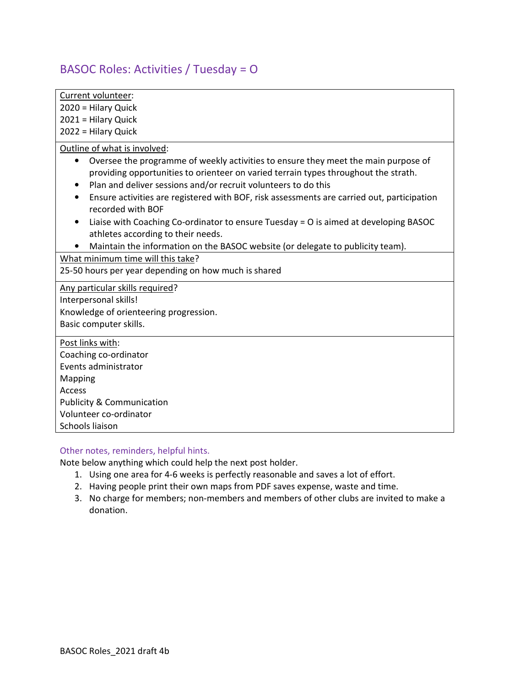# BASOC Roles: Activities / Tuesday = O

| Current volunteer:                                                                                                                                                                     |
|----------------------------------------------------------------------------------------------------------------------------------------------------------------------------------------|
| 2020 = Hilary Quick                                                                                                                                                                    |
| 2021 = Hilary Quick                                                                                                                                                                    |
| 2022 = Hilary Quick                                                                                                                                                                    |
| Outline of what is involved:                                                                                                                                                           |
| Oversee the programme of weekly activities to ensure they meet the main purpose of<br>$\bullet$<br>providing opportunities to orienteer on varied terrain types throughout the strath. |
| Plan and deliver sessions and/or recruit volunteers to do this<br>٠                                                                                                                    |
| Ensure activities are registered with BOF, risk assessments are carried out, participation<br>٠<br>recorded with BOF                                                                   |
| Liaise with Coaching Co-ordinator to ensure Tuesday = O is aimed at developing BASOC<br>athletes according to their needs.                                                             |
| Maintain the information on the BASOC website (or delegate to publicity team).                                                                                                         |
| What minimum time will this take?                                                                                                                                                      |
| 25-50 hours per year depending on how much is shared                                                                                                                                   |
| Any particular skills required?                                                                                                                                                        |
| Interpersonal skills!                                                                                                                                                                  |
| Knowledge of orienteering progression.                                                                                                                                                 |
| Basic computer skills.                                                                                                                                                                 |
| Post links with:                                                                                                                                                                       |
| Coaching co-ordinator                                                                                                                                                                  |
| Events administrator                                                                                                                                                                   |
| Mapping                                                                                                                                                                                |
| Access                                                                                                                                                                                 |
| <b>Publicity &amp; Communication</b>                                                                                                                                                   |
| Volunteer co-ordinator                                                                                                                                                                 |
| Schools liaison                                                                                                                                                                        |
|                                                                                                                                                                                        |

### Other notes, reminders, helpful hints.

- 1. Using one area for 4-6 weeks is perfectly reasonable and saves a lot of effort.
- 2. Having people print their own maps from PDF saves expense, waste and time.
- 3. No charge for members; non-members and members of other clubs are invited to make a donation.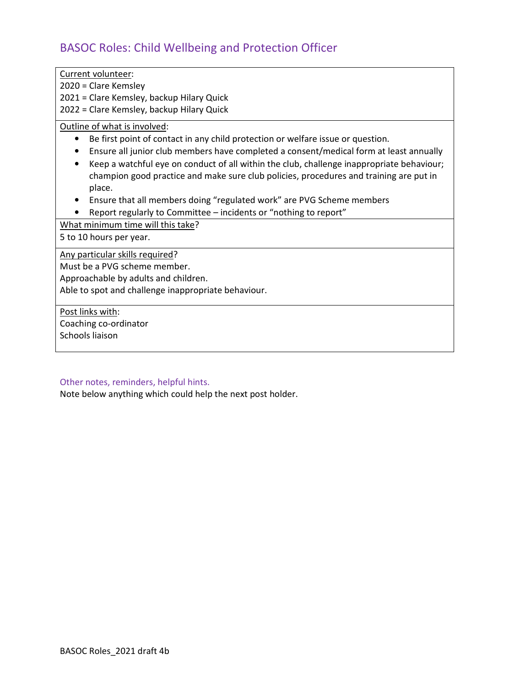# BASOC Roles: Child Wellbeing and Protection Officer

| Current volunteer:                                                                           |
|----------------------------------------------------------------------------------------------|
| 2020 = Clare Kemsley                                                                         |
|                                                                                              |
| 2021 = Clare Kemsley, backup Hilary Quick                                                    |
| 2022 = Clare Kemsley, backup Hilary Quick                                                    |
| Outline of what is involved:                                                                 |
| Be first point of contact in any child protection or welfare issue or question.<br>$\bullet$ |
| Ensure all junior club members have completed a consent/medical form at least annually       |
| Keep a watchful eye on conduct of all within the club, challenge inappropriate behaviour;    |
| champion good practice and make sure club policies, procedures and training are put in       |
| place.                                                                                       |
| Ensure that all members doing "regulated work" are PVG Scheme members                        |
| Report regularly to Committee - incidents or "nothing to report"                             |
|                                                                                              |
| What minimum time will this take?                                                            |
| 5 to 10 hours per year.                                                                      |
| Any particular skills required?                                                              |
| Must be a PVG scheme member.                                                                 |
| Approachable by adults and children.                                                         |
| Able to spot and challenge inappropriate behaviour.                                          |
|                                                                                              |
| Post links with:                                                                             |
| Coaching co-ordinator                                                                        |
| Schools liaison                                                                              |
|                                                                                              |

## Other notes, reminders, helpful hints.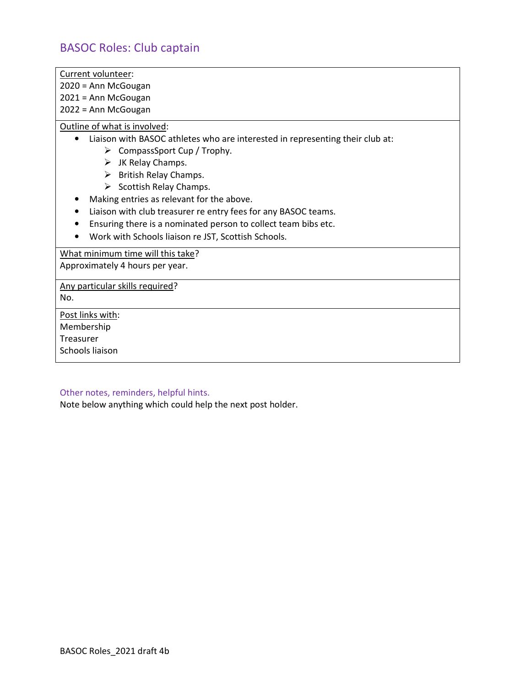## BASOC Roles: Club captain

Current volunteer:

2020 = Ann McGougan

2021 = Ann McGougan

2022 = Ann McGougan

Outline of what is involved:

- Liaison with BASOC athletes who are interested in representing their club at:
	- $\triangleright$  CompassSport Cup / Trophy.
	- $\triangleright$  JK Relay Champs.
	- $\triangleright$  British Relay Champs.
	- $\triangleright$  Scottish Relay Champs.
- Making entries as relevant for the above.
- Liaison with club treasurer re entry fees for any BASOC teams.
- Ensuring there is a nominated person to collect team bibs etc.
- Work with Schools liaison re JST, Scottish Schools.

What minimum time will this take?

Approximately 4 hours per year.

Any particular skills required?

No.

Post links with: Membership Treasurer

Schools liaison

#### Other notes, reminders, helpful hints.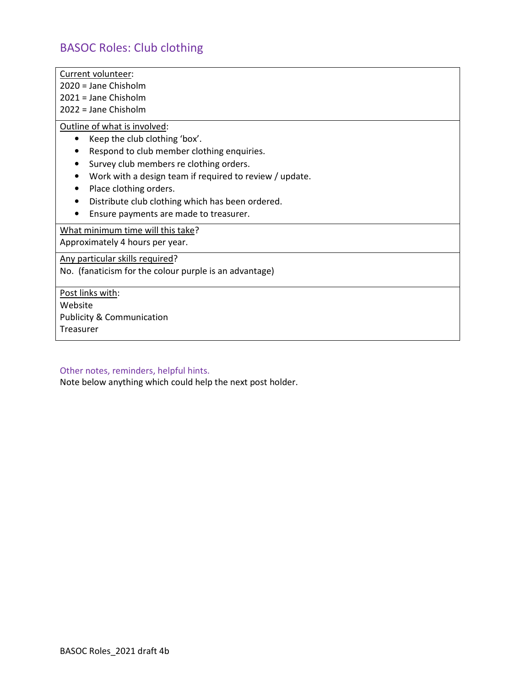## BASOC Roles: Club clothing

Current volunteer:

2020 = Jane Chisholm

2021 = Jane Chisholm

2022 = Jane Chisholm

Outline of what is involved:

- Keep the club clothing 'box'.
- Respond to club member clothing enquiries.
- Survey club members re clothing orders.
- Work with a design team if required to review / update.
- Place clothing orders.
- Distribute club clothing which has been ordered.
- Ensure payments are made to treasurer.

What minimum time will this take?

Approximately 4 hours per year.

Any particular skills required?

No. (fanaticism for the colour purple is an advantage)

Post links with:

Website Publicity & Communication Treasurer

#### Other notes, reminders, helpful hints.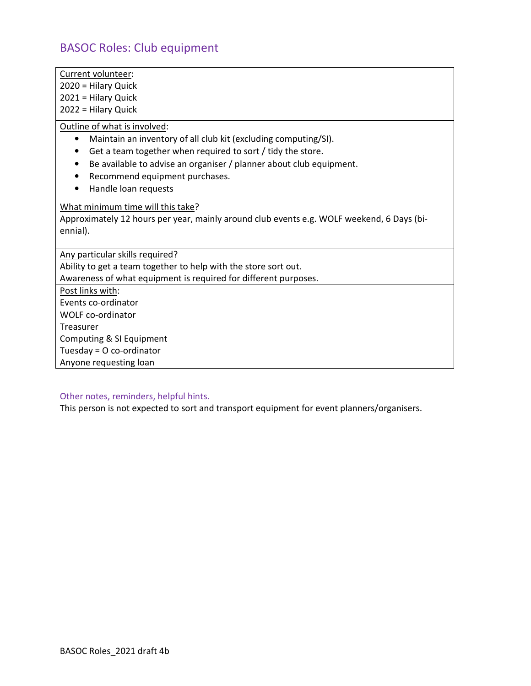## BASOC Roles: Club equipment

- Current volunteer:
- 2020 = Hilary Quick
- 2021 = Hilary Quick
- 2022 = Hilary Quick

### Outline of what is involved:

- Maintain an inventory of all club kit (excluding computing/SI).
- Get a team together when required to sort / tidy the store.
- Be available to advise an organiser / planner about club equipment.
- Recommend equipment purchases.
- Handle loan requests

### What minimum time will this take?

Approximately 12 hours per year, mainly around club events e.g. WOLF weekend, 6 Days (biennial).

Any particular skills required?

Ability to get a team together to help with the store sort out. Awareness of what equipment is required for different purposes.

Post links with: Events co-ordinator WOLF co-ordinator Treasurer Computing & SI Equipment Tuesday = O co-ordinator Anyone requesting loan

# Other notes, reminders, helpful hints.

This person is not expected to sort and transport equipment for event planners/organisers.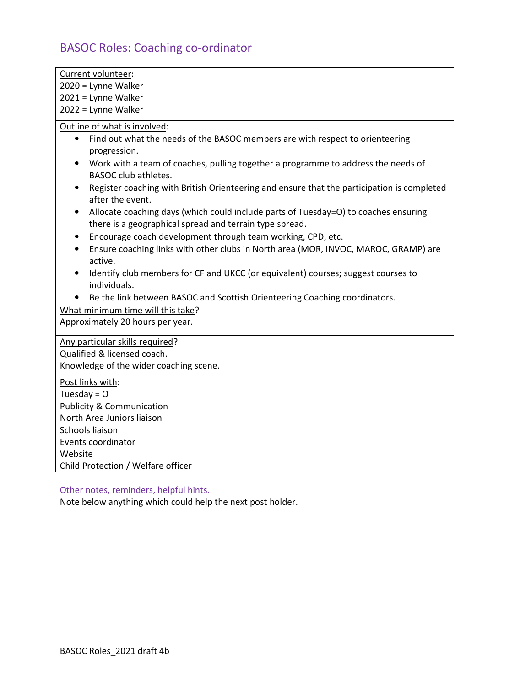# BASOC Roles: Coaching co-ordinator

| Current volunteer:                                                                                                                             |
|------------------------------------------------------------------------------------------------------------------------------------------------|
| 2020 = Lynne Walker                                                                                                                            |
| 2021 = Lynne Walker                                                                                                                            |
| 2022 = Lynne Walker                                                                                                                            |
| Outline of what is involved:                                                                                                                   |
| Find out what the needs of the BASOC members are with respect to orienteering<br>$\bullet$<br>progression.                                     |
| Work with a team of coaches, pulling together a programme to address the needs of<br><b>BASOC club athletes.</b>                               |
| Register coaching with British Orienteering and ensure that the participation is completed<br>after the event.                                 |
| Allocate coaching days (which could include parts of Tuesday=O) to coaches ensuring<br>there is a geographical spread and terrain type spread. |
| Encourage coach development through team working, CPD, etc.<br>$\bullet$                                                                       |
| Ensure coaching links with other clubs in North area (MOR, INVOC, MAROC, GRAMP) are<br>active.                                                 |
| Identify club members for CF and UKCC (or equivalent) courses; suggest courses to                                                              |
| individuals.                                                                                                                                   |
| Be the link between BASOC and Scottish Orienteering Coaching coordinators.                                                                     |
| What minimum time will this take?                                                                                                              |
| Approximately 20 hours per year.                                                                                                               |
| Any particular skills required?                                                                                                                |
| Qualified & licensed coach.                                                                                                                    |
| Knowledge of the wider coaching scene.                                                                                                         |
|                                                                                                                                                |
| Post links with:<br>Tuesday = $O$                                                                                                              |
| <b>Publicity &amp; Communication</b>                                                                                                           |
| North Area Juniors liaison                                                                                                                     |
| Schools liaison                                                                                                                                |
| Events coordinator                                                                                                                             |
| Website                                                                                                                                        |
| Child Protection / Welfare officer                                                                                                             |
|                                                                                                                                                |

Other notes, reminders, helpful hints.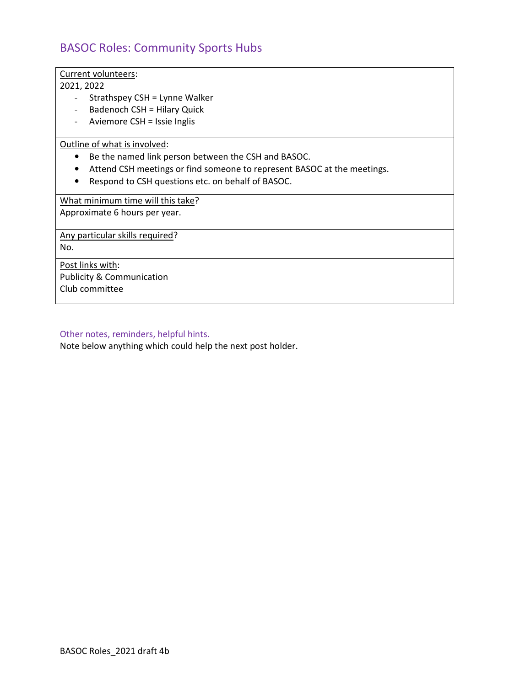## BASOC Roles: Community Sports Hubs

Current volunteers:

2021, 2022

- Strathspey CSH = Lynne Walker
- Badenoch CSH = Hilary Quick
- Aviemore CSH = Issie Inglis

Outline of what is involved:

- Be the named link person between the CSH and BASOC.
- Attend CSH meetings or find someone to represent BASOC at the meetings.
- Respond to CSH questions etc. on behalf of BASOC.

What minimum time will this take?

Approximate 6 hours per year.

Any particular skills required?

No.

Post links with: Publicity & Communication Club committee

#### Other notes, reminders, helpful hints.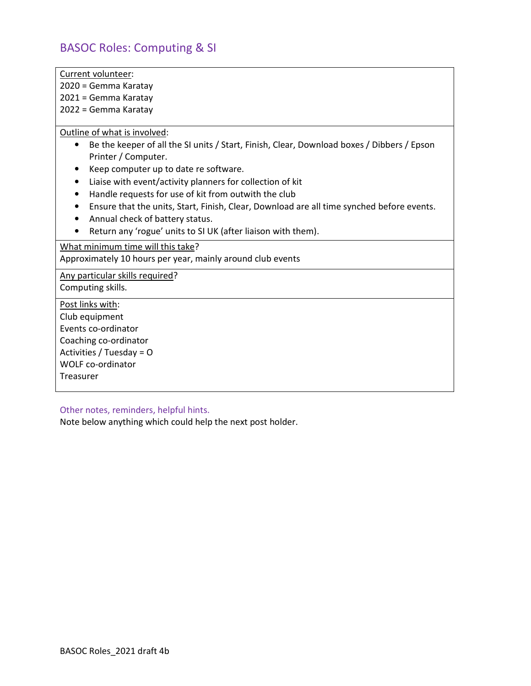## BASOC Roles: Computing & SI

Current volunteer:

2020 = Gemma Karatay

2021 = Gemma Karatay

2022 = Gemma Karatay

Outline of what is involved:

- Be the keeper of all the SI units / Start, Finish, Clear, Download boxes / Dibbers / Epson Printer / Computer.
- Keep computer up to date re software.
- Liaise with event/activity planners for collection of kit
- Handle requests for use of kit from outwith the club
- Ensure that the units, Start, Finish, Clear, Download are all time synched before events.
- Annual check of battery status.
- Return any 'rogue' units to SI UK (after liaison with them).

What minimum time will this take? Approximately 10 hours per year, mainly around club events

Any particular skills required?

Computing skills.

Post links with:

Club equipment Events co-ordinator Coaching co-ordinator Activities / Tuesday = O WOLF co-ordinator

**Treasurer** 

Other notes, reminders, helpful hints.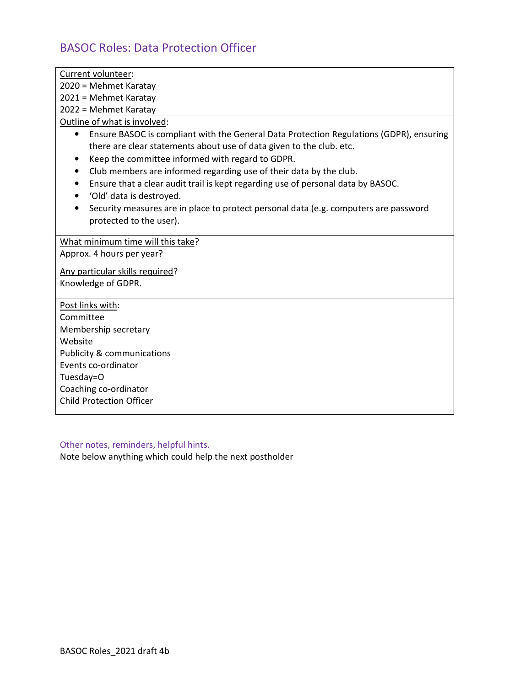# BASOC Roles: Data Protection Officer

| Current volunteer:                                                                                                                                                                                                               |
|----------------------------------------------------------------------------------------------------------------------------------------------------------------------------------------------------------------------------------|
| 2020 = Mehmet Karatay                                                                                                                                                                                                            |
| 2021 = Mehmet Karatay                                                                                                                                                                                                            |
| 2022 = Mehmet Karatay                                                                                                                                                                                                            |
| Outline of what is involved:                                                                                                                                                                                                     |
| Ensure BASOC is compliant with the General Data Protection Regulations (GDPR), ensuring<br>$\bullet$<br>there are clear statements about use of data given to the club. etc.<br>Keep the committee informed with regard to GDPR. |
| Club members are informed regarding use of their data by the club.                                                                                                                                                               |
| Ensure that a clear audit trail is kept regarding use of personal data by BASOC.<br>٠                                                                                                                                            |
| 'Old' data is destroyed.                                                                                                                                                                                                         |
| Security measures are in place to protect personal data (e.g. computers are password                                                                                                                                             |
| protected to the user).                                                                                                                                                                                                          |
| What minimum time will this take?                                                                                                                                                                                                |
| Approx. 4 hours per year?                                                                                                                                                                                                        |
| Any particular skills required?                                                                                                                                                                                                  |
| Knowledge of GDPR.                                                                                                                                                                                                               |
| Post links with:                                                                                                                                                                                                                 |
| Committee                                                                                                                                                                                                                        |
| Membership secretary                                                                                                                                                                                                             |
| Website                                                                                                                                                                                                                          |
| <b>Publicity &amp; communications</b>                                                                                                                                                                                            |
| Events co-ordinator                                                                                                                                                                                                              |
| Tuesday=O                                                                                                                                                                                                                        |
| Coaching co-ordinator                                                                                                                                                                                                            |
| <b>Child Protection Officer</b>                                                                                                                                                                                                  |
|                                                                                                                                                                                                                                  |

Other notes, reminders, helpful hints.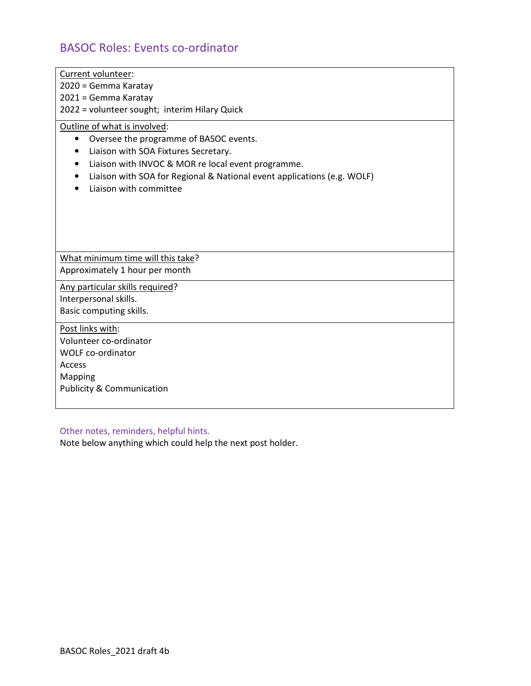# BASOC Roles: Events co-ordinator

| Current volunteer:<br>2020 = Gemma Karatay<br>2021 = Gemma Karatay<br>2022 = volunteer sought; interim Hilary Quick                                                                                                                                                       |
|---------------------------------------------------------------------------------------------------------------------------------------------------------------------------------------------------------------------------------------------------------------------------|
| Outline of what is involved:<br>Oversee the programme of BASOC events.<br>Liaison with SOA Fixtures Secretary.<br>Liaison with INVOC & MOR re local event programme.<br>Liaison with SOA for Regional & National event applications (e.g. WOLF)<br>Liaison with committee |
| What minimum time will this take?<br>Approximately 1 hour per month                                                                                                                                                                                                       |
| Any particular skills required?<br>Interpersonal skills.<br>Basic computing skills.                                                                                                                                                                                       |
| Post links with:<br>Volunteer co-ordinator<br><b>WOLF co-ordinator</b><br>Access<br>Mapping<br><b>Publicity &amp; Communication</b>                                                                                                                                       |

## Other notes, reminders, helpful hints.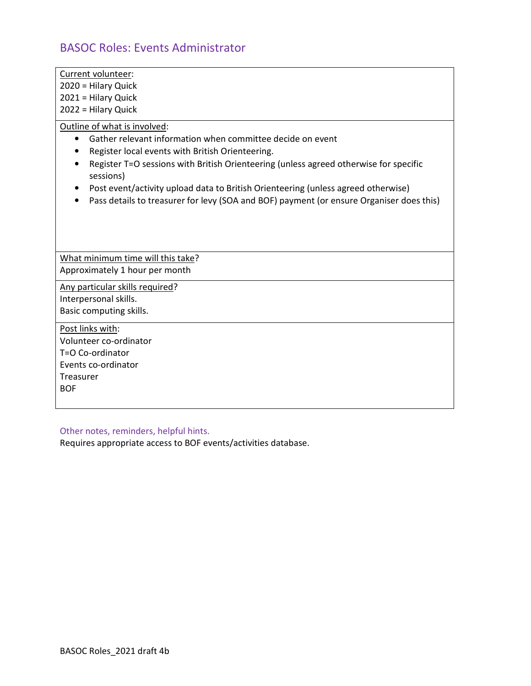## BASOC Roles: Events Administrator

2020 = Hilary Quick

2021 = Hilary Quick

2022 = Hilary Quick

Outline of what is involved:

- Gather relevant information when committee decide on event
- Register local events with British Orienteering.
- Register T=O sessions with British Orienteering (unless agreed otherwise for specific sessions)
- Post event/activity upload data to British Orienteering (unless agreed otherwise)
- Pass details to treasurer for levy (SOA and BOF) payment (or ensure Organiser does this)

What minimum time will this take? Approximately 1 hour per month

Any particular skills required? Interpersonal skills.

Basic computing skills. Post links with:

Volunteer co-ordinator T=O Co-ordinator Events co-ordinator Treasurer BOF

### Other notes, reminders, helpful hints.

Requires appropriate access to BOF events/activities database.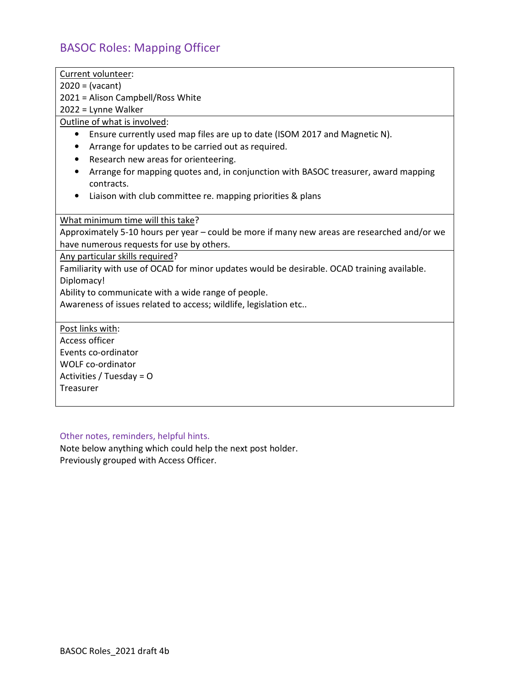# BASOC Roles: Mapping Officer

| Current volunteer:                                                                           |
|----------------------------------------------------------------------------------------------|
| $2020 = (vacant)$                                                                            |
| 2021 = Alison Campbell/Ross White                                                            |
| 2022 = Lynne Walker                                                                          |
| Outline of what is involved:                                                                 |
| Ensure currently used map files are up to date (ISOM 2017 and Magnetic N).<br>$\bullet$      |
| Arrange for updates to be carried out as required.<br>٠                                      |
| Research new areas for orienteering.                                                         |
| Arrange for mapping quotes and, in conjunction with BASOC treasurer, award mapping           |
| contracts.                                                                                   |
| Liaison with club committee re. mapping priorities & plans<br>$\bullet$                      |
|                                                                                              |
| What minimum time will this take?                                                            |
| Approximately 5-10 hours per year - could be more if many new areas are researched and/or we |
| have numerous requests for use by others.                                                    |
| Any particular skills required?                                                              |
| Familiarity with use of OCAD for minor updates would be desirable. OCAD training available.  |
| Diplomacy!                                                                                   |
| Ability to communicate with a wide range of people.                                          |
| Awareness of issues related to access; wildlife, legislation etc                             |
|                                                                                              |
| Post links with:                                                                             |
| <b>Access officer</b>                                                                        |
| Events co-ordinator                                                                          |
| <b>WOLF co-ordinator</b>                                                                     |
| Activities / Tuesday = $O$                                                                   |
| Treasurer                                                                                    |
|                                                                                              |

## Other notes, reminders, helpful hints.

Note below anything which could help the next post holder. Previously grouped with Access Officer.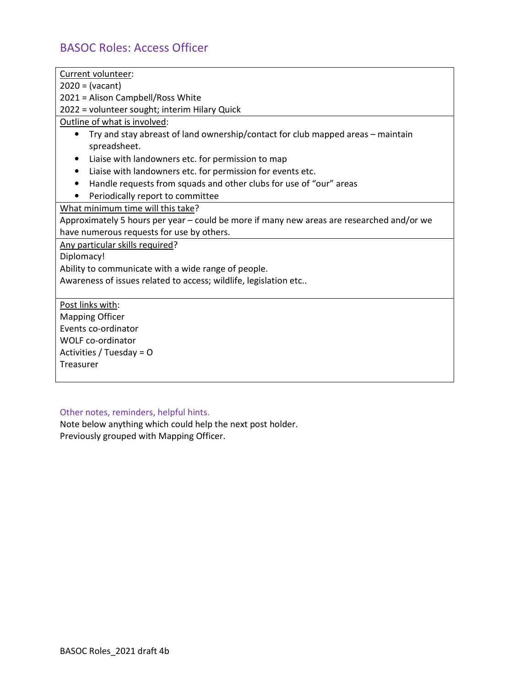# BASOC Roles: Access Officer

| Current volunteer:                                                                        |
|-------------------------------------------------------------------------------------------|
| $2020 = (vacant)$                                                                         |
| 2021 = Alison Campbell/Ross White                                                         |
| 2022 = volunteer sought; interim Hilary Quick                                             |
| Outline of what is involved:                                                              |
| Try and stay abreast of land ownership/contact for club mapped areas – maintain           |
| spreadsheet.                                                                              |
| Liaise with landowners etc. for permission to map                                         |
| Liaise with landowners etc. for permission for events etc.                                |
| Handle requests from squads and other clubs for use of "our" areas                        |
| Periodically report to committee                                                          |
| What minimum time will this take?                                                         |
| Approximately 5 hours per year – could be more if many new areas are researched and/or we |
| have numerous requests for use by others.                                                 |
| Any particular skills required?                                                           |
| Diplomacy!                                                                                |
| Ability to communicate with a wide range of people.                                       |
| Awareness of issues related to access; wildlife, legislation etc                          |
|                                                                                           |
| Post links with:                                                                          |
| <b>Mapping Officer</b>                                                                    |
| Events co-ordinator                                                                       |
| <b>WOLF co-ordinator</b>                                                                  |
| Activities / Tuesday = O                                                                  |
| Treasurer                                                                                 |
|                                                                                           |

## Other notes, reminders, helpful hints.

Note below anything which could help the next post holder. Previously grouped with Mapping Officer.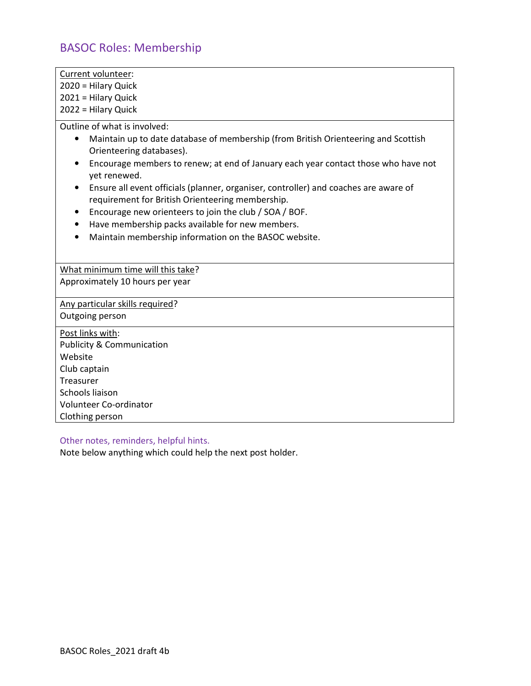# BASOC Roles: Membership

| Current volunteer:                                                                                                                       |
|------------------------------------------------------------------------------------------------------------------------------------------|
| 2020 = Hilary Quick                                                                                                                      |
| 2021 = Hilary Quick                                                                                                                      |
| 2022 = Hilary Quick                                                                                                                      |
| Outline of what is involved:                                                                                                             |
| Maintain up to date database of membership (from British Orienteering and Scottish<br>$\bullet$<br>Orienteering databases).              |
| Encourage members to renew; at end of January each year contact those who have not<br>$\bullet$<br>yet renewed.                          |
| Ensure all event officials (planner, organiser, controller) and coaches are aware of<br>requirement for British Orienteering membership. |
| Encourage new orienteers to join the club / SOA / BOF.<br>٠                                                                              |
| Have membership packs available for new members.<br>$\bullet$                                                                            |
| Maintain membership information on the BASOC website.<br>$\bullet$                                                                       |
|                                                                                                                                          |
| What minimum time will this take?                                                                                                        |
| Approximately 10 hours per year                                                                                                          |
| Any particular skills required?                                                                                                          |
| Outgoing person                                                                                                                          |
| Post links with:                                                                                                                         |
| <b>Publicity &amp; Communication</b>                                                                                                     |
| Website                                                                                                                                  |
| Club captain                                                                                                                             |

Treasurer Schools liaison

Volunteer Co-ordinator

Other notes, reminders, helpful hints.

Note below anything which could help the next post holder.

Clothing person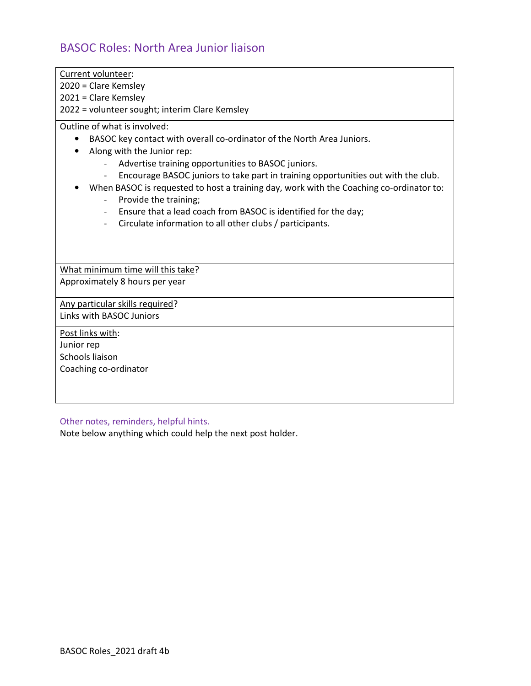# BASOC Roles: North Area Junior liaison

| Current volunteer:                                                                                                                                                                                                                                                                                                                                                                                                                                                                                                                                                                        |
|-------------------------------------------------------------------------------------------------------------------------------------------------------------------------------------------------------------------------------------------------------------------------------------------------------------------------------------------------------------------------------------------------------------------------------------------------------------------------------------------------------------------------------------------------------------------------------------------|
| 2020 = Clare Kemsley                                                                                                                                                                                                                                                                                                                                                                                                                                                                                                                                                                      |
| $2021$ = Clare Kemsley                                                                                                                                                                                                                                                                                                                                                                                                                                                                                                                                                                    |
| 2022 = volunteer sought; interim Clare Kemsley                                                                                                                                                                                                                                                                                                                                                                                                                                                                                                                                            |
| Outline of what is involved:<br>BASOC key contact with overall co-ordinator of the North Area Juniors.<br>Along with the Junior rep:<br>Advertise training opportunities to BASOC juniors.<br>Encourage BASOC juniors to take part in training opportunities out with the club.<br>When BASOC is requested to host a training day, work with the Coaching co-ordinator to:<br>Provide the training;<br>Ensure that a lead coach from BASOC is identified for the day;<br>$\overline{\phantom{0}}$<br>Circulate information to all other clubs / participants.<br>$\overline{\phantom{0}}$ |
|                                                                                                                                                                                                                                                                                                                                                                                                                                                                                                                                                                                           |
| What minimum time will this take?                                                                                                                                                                                                                                                                                                                                                                                                                                                                                                                                                         |
| Approximately 8 hours per year                                                                                                                                                                                                                                                                                                                                                                                                                                                                                                                                                            |
| Any particular skills required?                                                                                                                                                                                                                                                                                                                                                                                                                                                                                                                                                           |
| Links with BASOC Juniors                                                                                                                                                                                                                                                                                                                                                                                                                                                                                                                                                                  |
| Post links with:                                                                                                                                                                                                                                                                                                                                                                                                                                                                                                                                                                          |
| Junior rep                                                                                                                                                                                                                                                                                                                                                                                                                                                                                                                                                                                |
| Schools liaison                                                                                                                                                                                                                                                                                                                                                                                                                                                                                                                                                                           |
| Coaching co-ordinator                                                                                                                                                                                                                                                                                                                                                                                                                                                                                                                                                                     |
|                                                                                                                                                                                                                                                                                                                                                                                                                                                                                                                                                                                           |
|                                                                                                                                                                                                                                                                                                                                                                                                                                                                                                                                                                                           |
|                                                                                                                                                                                                                                                                                                                                                                                                                                                                                                                                                                                           |

Other notes, reminders, helpful hints.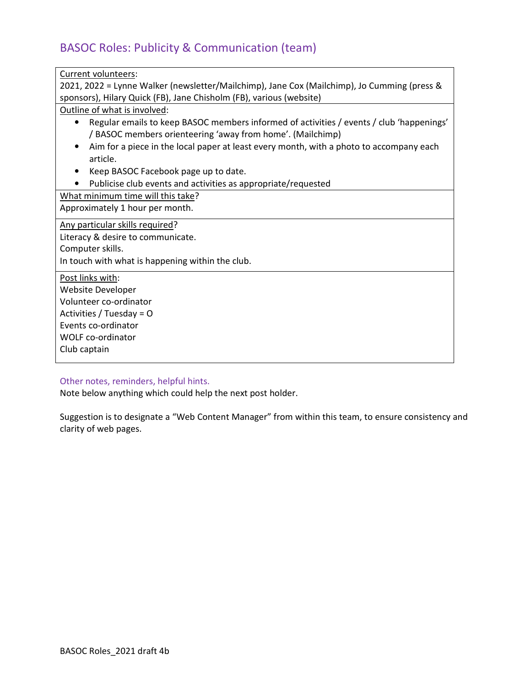# BASOC Roles: Publicity & Communication (team)

| Current volunteers:                                                                                   |  |  |  |  |
|-------------------------------------------------------------------------------------------------------|--|--|--|--|
| 2021, 2022 = Lynne Walker (newsletter/Mailchimp), Jane Cox (Mailchimp), Jo Cumming (press &           |  |  |  |  |
| sponsors), Hilary Quick (FB), Jane Chisholm (FB), various (website)                                   |  |  |  |  |
| Outline of what is involved:                                                                          |  |  |  |  |
| Regular emails to keep BASOC members informed of activities / events / club 'happenings'<br>$\bullet$ |  |  |  |  |
| / BASOC members orienteering 'away from home'. (Mailchimp)                                            |  |  |  |  |
| Aim for a piece in the local paper at least every month, with a photo to accompany each               |  |  |  |  |
| article.                                                                                              |  |  |  |  |
| Keep BASOC Facebook page up to date.                                                                  |  |  |  |  |
| Publicise club events and activities as appropriate/requested<br>$\bullet$                            |  |  |  |  |
| What minimum time will this take?                                                                     |  |  |  |  |
| Approximately 1 hour per month.                                                                       |  |  |  |  |
| Any particular skills required?                                                                       |  |  |  |  |
| Literacy & desire to communicate.                                                                     |  |  |  |  |
| Computer skills.                                                                                      |  |  |  |  |
| In touch with what is happening within the club.                                                      |  |  |  |  |
| Post links with:                                                                                      |  |  |  |  |
| Website Developer                                                                                     |  |  |  |  |
| Volunteer co-ordinator                                                                                |  |  |  |  |
| Activities / Tuesday = O                                                                              |  |  |  |  |
| Events co-ordinator                                                                                   |  |  |  |  |
| <b>WOLF</b> co-ordinator                                                                              |  |  |  |  |
| Club captain                                                                                          |  |  |  |  |
|                                                                                                       |  |  |  |  |

### Other notes, reminders, helpful hints.

Note below anything which could help the next post holder.

Suggestion is to designate a "Web Content Manager" from within this team, to ensure consistency and clarity of web pages.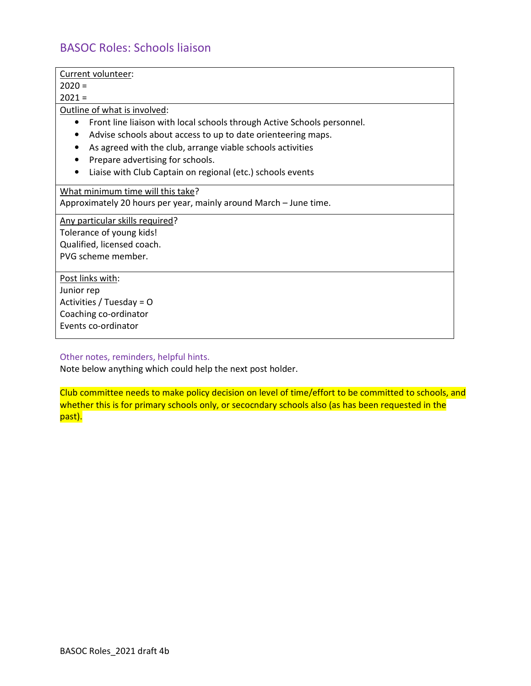## BASOC Roles: Schools liaison

Current volunteer:  $2020 =$  $2021 =$ Outline of what is involved: • Front line liaison with local schools through Active Schools personnel. • Advise schools about access to up to date orienteering maps. • As agreed with the club, arrange viable schools activities • Prepare advertising for schools. • Liaise with Club Captain on regional (etc.) schools events What minimum time will this take? Approximately 20 hours per year, mainly around March – June time. Any particular skills required? Tolerance of young kids! Qualified, licensed coach. PVG scheme member. Post links with: Junior rep Activities / Tuesday = O Coaching co-ordinator Events co-ordinator

Other notes, reminders, helpful hints.

Note below anything which could help the next post holder.

Club committee needs to make policy decision on level of time/effort to be committed to schools, and whether this is for primary schools only, or secocndary schools also (as has been requested in the past).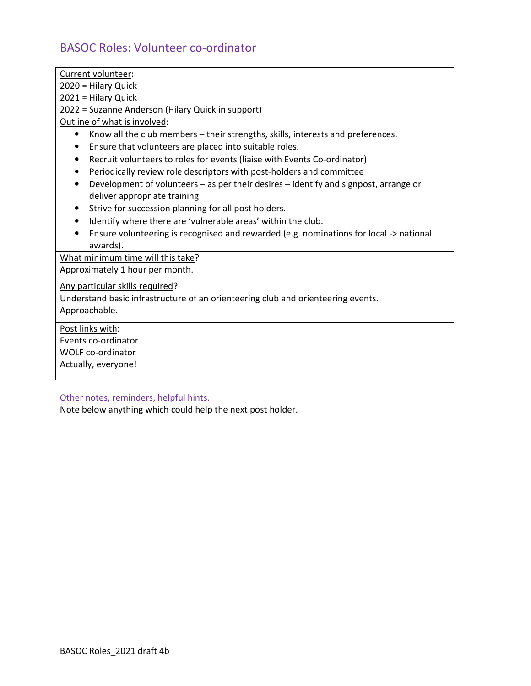# BASOC Roles: Volunteer co-ordinator

| Current volunteer:                                                                           |
|----------------------------------------------------------------------------------------------|
| 2020 = Hilary Quick                                                                          |
| 2021 = Hilary Quick                                                                          |
| 2022 = Suzanne Anderson (Hilary Quick in support)                                            |
| Outline of what is involved:                                                                 |
| Know all the club members – their strengths, skills, interests and preferences.<br>$\bullet$ |
| Ensure that volunteers are placed into suitable roles.                                       |
| Recruit volunteers to roles for events (liaise with Events Co-ordinator)                     |
| Periodically review role descriptors with post-holders and committee                         |
| Development of volunteers - as per their desires - identify and signpost, arrange or         |
| deliver appropriate training                                                                 |
| Strive for succession planning for all post holders.<br>٠                                    |
| Identify where there are 'vulnerable areas' within the club.<br>$\bullet$                    |
| Ensure volunteering is recognised and rewarded (e.g. nominations for local -> national       |
| awards).                                                                                     |
| What minimum time will this take?                                                            |
| Approximately 1 hour per month.                                                              |
| Any particular skills required?                                                              |
| Understand basic infrastructure of an orienteering club and orienteering events.             |
| Approachable.                                                                                |
| Post links with:                                                                             |
| Events co-ordinator                                                                          |
| <b>WOLF co-ordinator</b>                                                                     |
| Actually, everyone!                                                                          |
|                                                                                              |
| Other notes, reminders, helpful hints.                                                       |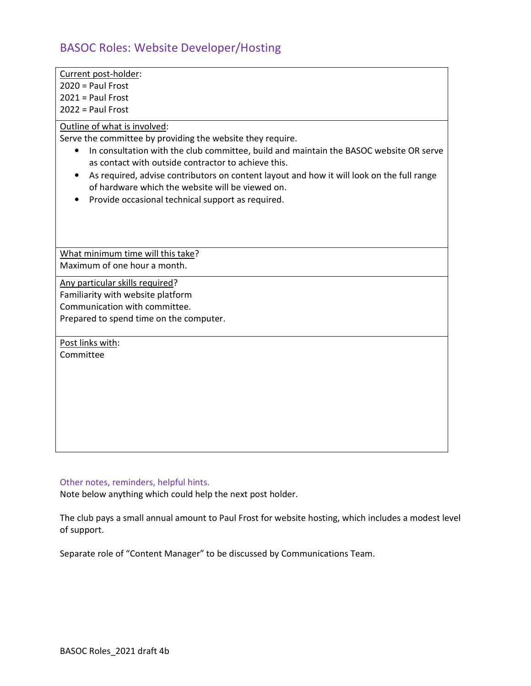## BASOC Roles: Website Developer/Hosting

Current post-holder:

2020 = Paul Frost

2021 = Paul Frost

2022 = Paul Frost

Outline of what is involved:

Serve the committee by providing the website they require.

- In consultation with the club committee, build and maintain the BASOC website OR serve as contact with outside contractor to achieve this.
- As required, advise contributors on content layout and how it will look on the full range of hardware which the website will be viewed on.
- Provide occasional technical support as required.

What minimum time will this take? Maximum of one hour a month.

Any particular skills required?

Familiarity with website platform

Communication with committee.

Prepared to spend time on the computer.

Post links with:

Committee

#### Other notes, reminders, helpful hints.

Note below anything which could help the next post holder.

The club pays a small annual amount to Paul Frost for website hosting, which includes a modest level of support.

Separate role of "Content Manager" to be discussed by Communications Team.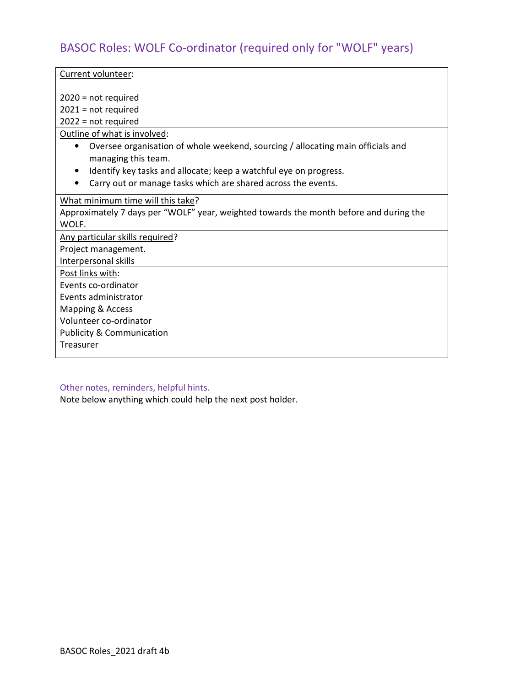## BASOC Roles: WOLF Co-ordinator (required only for "WOLF" years)

Current volunteer:

2020 = not required

2021 = not required

2022 = not required

Outline of what is involved:

- Oversee organisation of whole weekend, sourcing / allocating main officials and managing this team.
- Identify key tasks and allocate; keep a watchful eye on progress.
- Carry out or manage tasks which are shared across the events.

What minimum time will this take?

Approximately 7 days per "WOLF" year, weighted towards the month before and during the WOLF.

Any particular skills required?

Project management.

Interpersonal skills

Post links with:

Events co-ordinator

Events administrator

Mapping & Access

Volunteer co-ordinator

Publicity & Communication

**Treasurer** 

Other notes, reminders, helpful hints.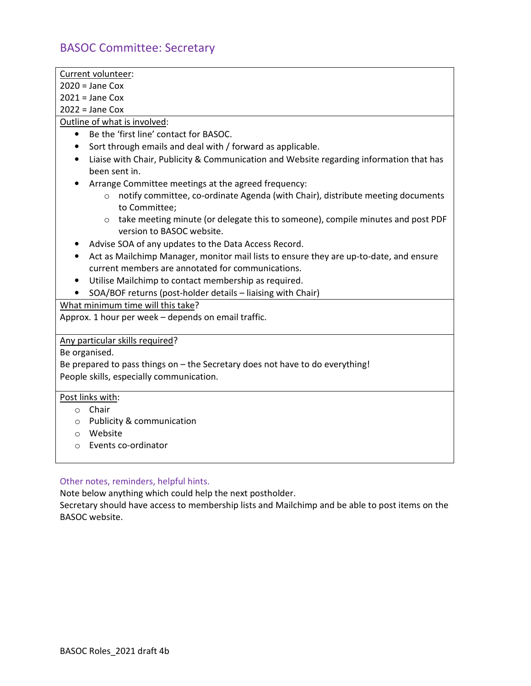# BASOC Committee: Secretary

| Current volunteer:                                                                                                      |
|-------------------------------------------------------------------------------------------------------------------------|
| $2020 =$ Jane Cox                                                                                                       |
| $2021 =$ Jane Cox                                                                                                       |
|                                                                                                                         |
| $2022 =$ Jane Cox                                                                                                       |
| Outline of what is involved:                                                                                            |
| Be the 'first line' contact for BASOC.<br>$\bullet$                                                                     |
| Sort through emails and deal with / forward as applicable.<br>$\bullet$                                                 |
| Liaise with Chair, Publicity & Communication and Website regarding information that has<br>$\bullet$                    |
| been sent in.                                                                                                           |
| Arrange Committee meetings at the agreed frequency:                                                                     |
| notify committee, co-ordinate Agenda (with Chair), distribute meeting documents<br>$\circ$<br>to Committee;             |
| take meeting minute (or delegate this to someone), compile minutes and post PDF<br>$\circ$<br>version to BASOC website. |
| Advise SOA of any updates to the Data Access Record.                                                                    |
| Act as Mailchimp Manager, monitor mail lists to ensure they are up-to-date, and ensure<br>$\bullet$                     |
| current members are annotated for communications.                                                                       |
| Utilise Mailchimp to contact membership as required.                                                                    |
| • SOA/BOF returns (post-holder details - liaising with Chair)                                                           |
| What minimum time will this take?                                                                                       |
| Approx. 1 hour per week - depends on email traffic.                                                                     |
|                                                                                                                         |
| Any particular skills required?                                                                                         |
| Be organised.                                                                                                           |
| Be prepared to pass things on - the Secretary does not have to do everything!                                           |
| People skills, especially communication.                                                                                |
|                                                                                                                         |
| Post links with:                                                                                                        |
| $\circ$ Chair                                                                                                           |
| <b>Publicity &amp; communication</b><br>$\circ$                                                                         |
| Website<br>$\Omega$                                                                                                     |
| Events co-ordinator<br>$\bigcirc$                                                                                       |
|                                                                                                                         |

## Other notes, reminders, helpful hints.

Note below anything which could help the next postholder.

Secretary should have access to membership lists and Mailchimp and be able to post items on the BASOC website.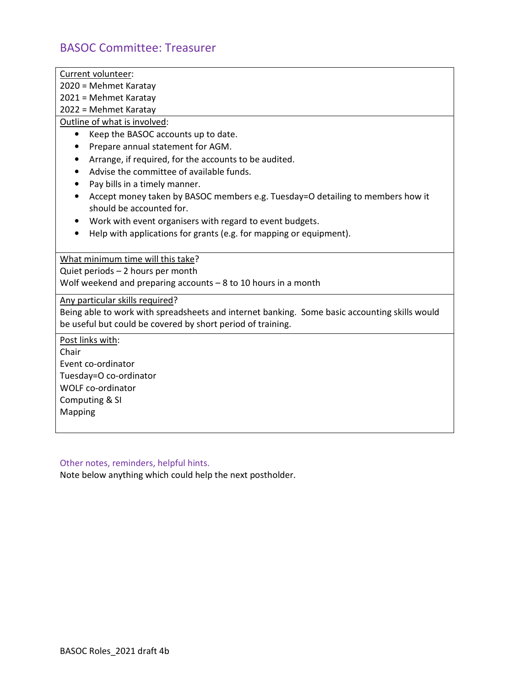## BASOC Committee: Treasurer

Current volunteer:

2020 = Mehmet Karatay

2021 = Mehmet Karatay

2022 = Mehmet Karatay

Outline of what is involved:

- Keep the BASOC accounts up to date.
- Prepare annual statement for AGM.
- Arrange, if required, for the accounts to be audited.
- Advise the committee of available funds.
- Pay bills in a timely manner.
- Accept money taken by BASOC members e.g. Tuesday=O detailing to members how it should be accounted for.
- Work with event organisers with regard to event budgets.
- Help with applications for grants (e.g. for mapping or equipment).

What minimum time will this take?

Quiet periods – 2 hours per month

Wolf weekend and preparing accounts – 8 to 10 hours in a month

Any particular skills required?

Being able to work with spreadsheets and internet banking. Some basic accounting skills would be useful but could be covered by short period of training.

Post links with:

Chair

Event co-ordinator

Tuesday=O co-ordinator

WOLF co-ordinator

Computing & SI

Mapping

Other notes, reminders, helpful hints.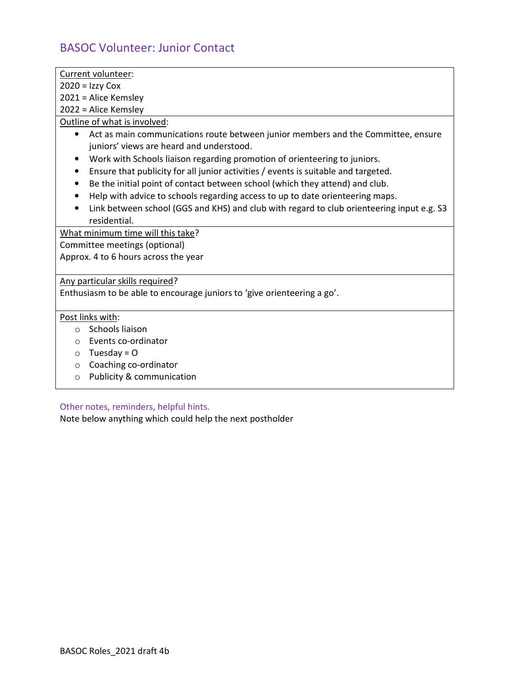## BASOC Volunteer: Junior Contact

|--|

 $2020 = Izzy Cox$ 

2021 = Alice Kemsley

2022 = Alice Kemsley

Outline of what is involved:

- Act as main communications route between junior members and the Committee, ensure juniors' views are heard and understood.
- Work with Schools liaison regarding promotion of orienteering to juniors.
- Ensure that publicity for all junior activities / events is suitable and targeted.
- Be the initial point of contact between school (which they attend) and club.
- Help with advice to schools regarding access to up to date orienteering maps.
- Link between school (GGS and KHS) and club with regard to club orienteering input e.g. S3 residential.

What minimum time will this take?

Committee meetings (optional)

Approx. 4 to 6 hours across the year

Any particular skills required?

Enthusiasm to be able to encourage juniors to 'give orienteering a go'.

### Post links with:

- o Schools liaison
- o Events co-ordinator
- $\circ$  Tuesday = 0
- o Coaching co-ordinator
- o Publicity & communication

Other notes, reminders, helpful hints.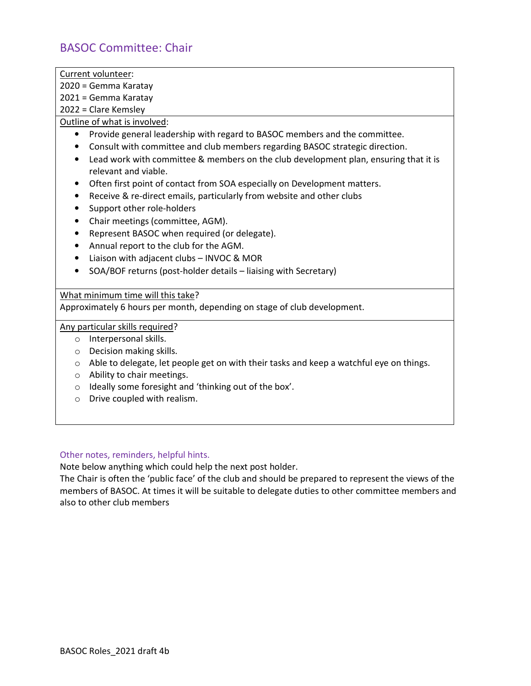## BASOC Committee: Chair

Current volunteer:

2020 = Gemma Karatay

2021 = Gemma Karatay

2022 = Clare Kemsley

Outline of what is involved:

- Provide general leadership with regard to BASOC members and the committee.
- Consult with committee and club members regarding BASOC strategic direction.
- Lead work with committee & members on the club development plan, ensuring that it is relevant and viable.
- Often first point of contact from SOA especially on Development matters.
- Receive & re-direct emails, particularly from website and other clubs
- Support other role-holders
- Chair meetings (committee, AGM).
- Represent BASOC when required (or delegate).
- Annual report to the club for the AGM.
- Liaison with adjacent clubs INVOC & MOR
- SOA/BOF returns (post-holder details liaising with Secretary)

What minimum time will this take?

Approximately 6 hours per month, depending on stage of club development.

Any particular skills required?

- o Interpersonal skills.
- o Decision making skills.
- $\circ$  Able to delegate, let people get on with their tasks and keep a watchful eye on things.
- o Ability to chair meetings.
- o Ideally some foresight and 'thinking out of the box'.
- o Drive coupled with realism.

### Other notes, reminders, helpful hints.

Note below anything which could help the next post holder.

The Chair is often the 'public face' of the club and should be prepared to represent the views of the members of BASOC. At times it will be suitable to delegate duties to other committee members and also to other club members